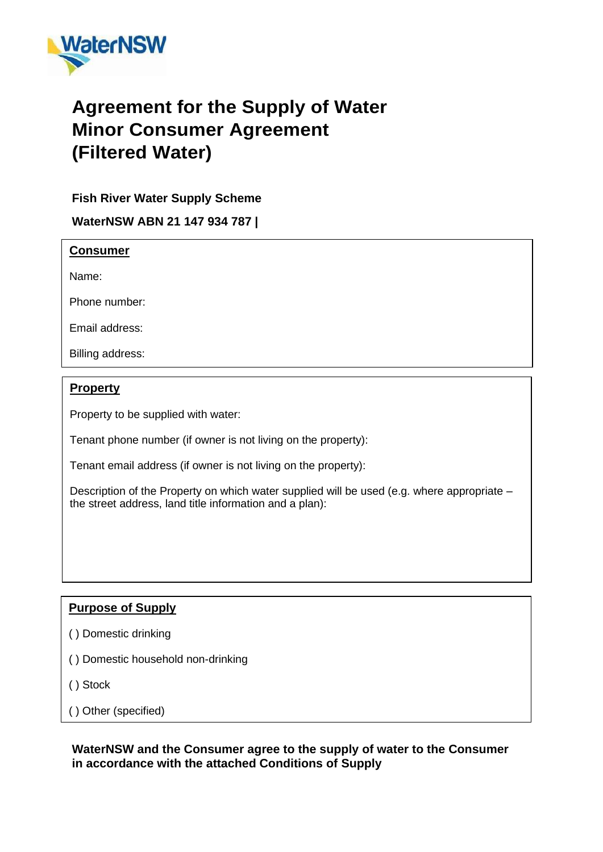

# **Agreement for the Supply of Water Minor Consumer Agreement (Filtered Water)**

## **Fish River Water Supply Scheme**

**WaterNSW ABN 21 147 934 787 |**

### **Consumer**

Name:

Phone number:

Email address:

Billing address:

### **Property**

Property to be supplied with water:

Tenant phone number (if owner is not living on the property):

Tenant email address (if owner is not living on the property):

Description of the Property on which water supplied will be used (e.g. where appropriate – the street address, land title information and a plan):

### **Purpose of Supply**

- ( ) Domestic drinking
- ( ) Domestic household non-drinking
- ( ) Stock

( ) Other (specified)

### **WaterNSW and the Consumer agree to the supply of water to the Consumer in accordance with the attached Conditions of Supply**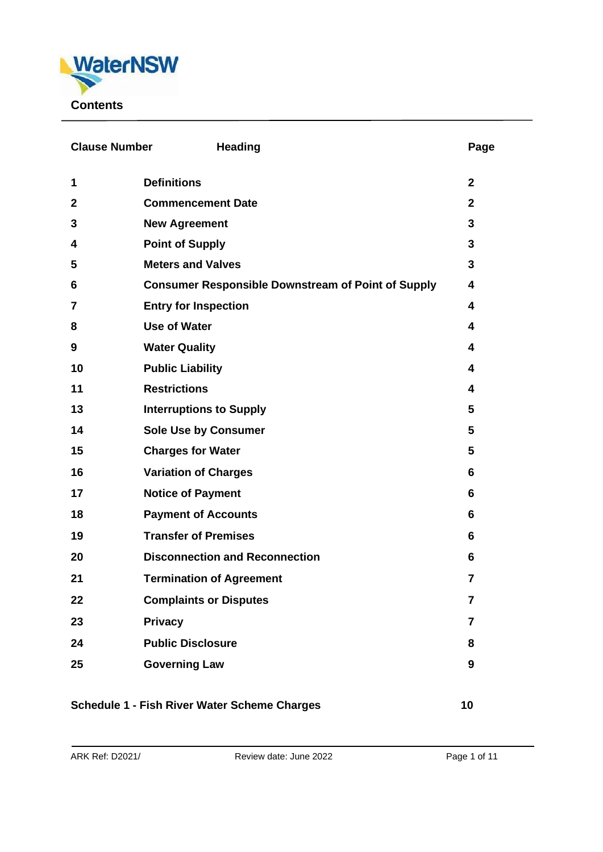

| <b>Clause Number</b>                                | <b>Heading</b>                                            | Page           |
|-----------------------------------------------------|-----------------------------------------------------------|----------------|
| 1                                                   | <b>Definitions</b>                                        | $\mathbf{2}$   |
| $\mathbf{2}$                                        | <b>Commencement Date</b>                                  | $\mathbf{2}$   |
| 3                                                   | <b>New Agreement</b>                                      | 3              |
| 4                                                   | <b>Point of Supply</b>                                    |                |
| 5                                                   | <b>Meters and Valves</b>                                  | 3              |
| 6                                                   | <b>Consumer Responsible Downstream of Point of Supply</b> |                |
| 7                                                   | <b>Entry for Inspection</b>                               | 4              |
| 8                                                   | <b>Use of Water</b>                                       | 4              |
| 9                                                   | <b>Water Quality</b>                                      | 4              |
| 10                                                  | <b>Public Liability</b>                                   | 4              |
| 11                                                  | <b>Restrictions</b>                                       | 4              |
| 13                                                  | <b>Interruptions to Supply</b>                            | 5              |
| 14                                                  | <b>Sole Use by Consumer</b>                               | 5              |
| 15                                                  | <b>Charges for Water</b>                                  | 5              |
| 16                                                  | <b>Variation of Charges</b>                               | 6              |
| 17                                                  | <b>Notice of Payment</b>                                  | 6              |
| 18                                                  | <b>Payment of Accounts</b>                                | 6              |
| 19                                                  | <b>Transfer of Premises</b>                               | 6              |
| 20                                                  | <b>Disconnection and Reconnection</b>                     | 6              |
| 21                                                  | <b>Termination of Agreement</b>                           | $\overline{7}$ |
| 22                                                  | <b>Complaints or Disputes</b>                             | 7              |
| 23                                                  | <b>Privacy</b>                                            | 7              |
| 24                                                  | <b>Public Disclosure</b>                                  | 8              |
| 25                                                  | <b>Governing Law</b>                                      | 9              |
| <b>Schedule 1 - Fish River Water Scheme Charges</b> |                                                           |                |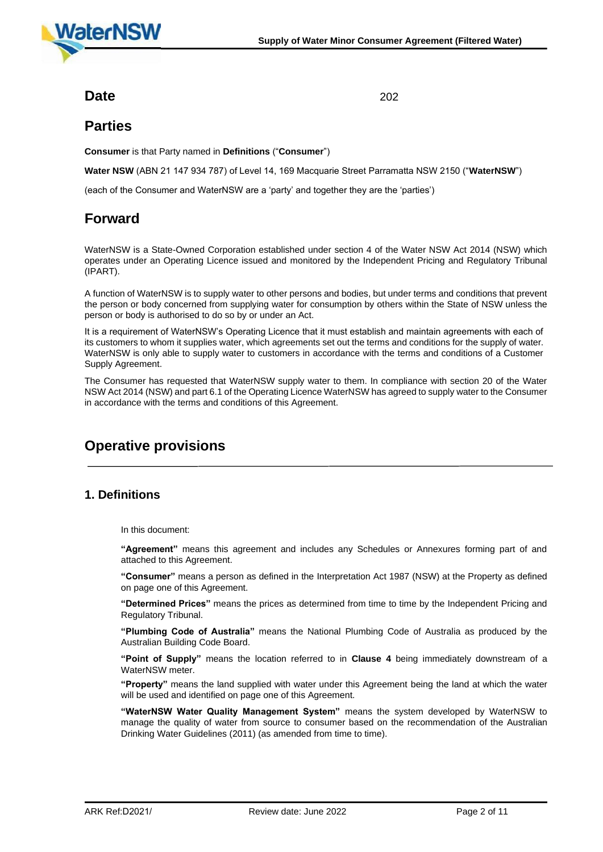

### **Date** 202

### **Parties**

**Consumer** is that Party named in **Definitions** ("**Consumer**")

**Water NSW** (ABN 21 147 934 787) of Level 14, 169 Macquarie Street Parramatta NSW 2150 ("**WaterNSW**")

(each of the Consumer and WaterNSW are a 'party' and together they are the 'parties')

## **Forward**

WaterNSW is a State-Owned Corporation established under section 4 of the Water NSW Act 2014 (NSW) which operates under an Operating Licence issued and monitored by the Independent Pricing and Regulatory Tribunal (IPART).

A function of WaterNSW is to supply water to other persons and bodies, but under terms and conditions that prevent the person or body concerned from supplying water for consumption by others within the State of NSW unless the person or body is authorised to do so by or under an Act.

It is a requirement of WaterNSW's Operating Licence that it must establish and maintain agreements with each of its customers to whom it supplies water, which agreements set out the terms and conditions for the supply of water. WaterNSW is only able to supply water to customers in accordance with the terms and conditions of a Customer Supply Agreement.

The Consumer has requested that WaterNSW supply water to them. In compliance with section 20 of the Water NSW Act 2014 (NSW) and part 6.1 of the Operating Licence WaterNSW has agreed to supply water to the Consumer in accordance with the terms and conditions of this Agreement.

## **Operative provisions**

### **1. Definitions**

In this document:

**"Agreement"** means this agreement and includes any Schedules or Annexures forming part of and attached to this Agreement.

**"Consumer"** means a person as defined in the Interpretation Act 1987 (NSW) at the Property as defined on page one of this Agreement.

**"Determined Prices"** means the prices as determined from time to time by the Independent Pricing and Regulatory Tribunal.

**"Plumbing Code of Australia"** means the National Plumbing Code of Australia as produced by the Australian Building Code Board.

**"Point of Supply"** means the location referred to in **Clause 4** being immediately downstream of a WaterNSW meter.

**"Property"** means the land supplied with water under this Agreement being the land at which the water will be used and identified on page one of this Agreement.

**"WaterNSW Water Quality Management System"** means the system developed by WaterNSW to manage the quality of water from source to consumer based on the recommendation of the Australian Drinking Water Guidelines (2011) (as amended from time to time).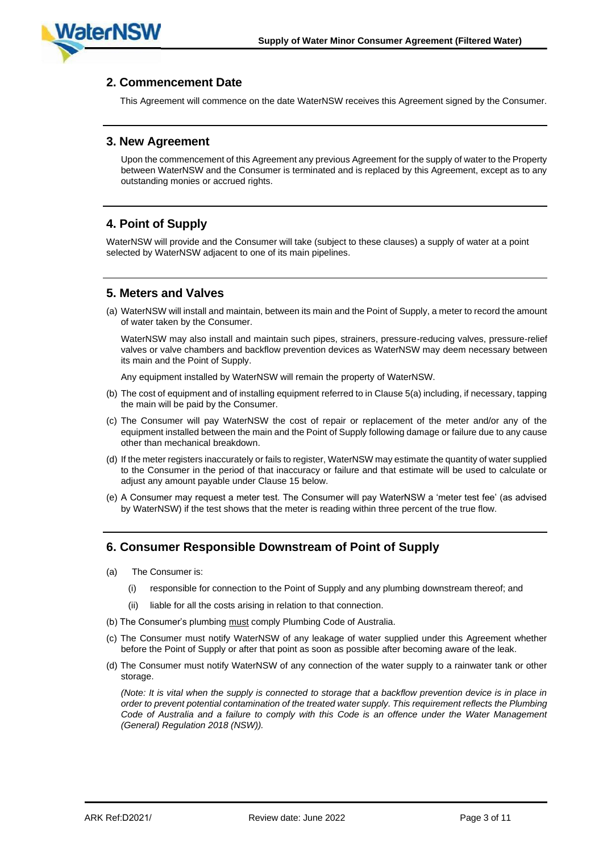

#### **2. Commencement Date**

This Agreement will commence on the date WaterNSW receives this Agreement signed by the Consumer.

#### **3. New Agreement**

Upon the commencement of this Agreement any previous Agreement for the supply of water to the Property between WaterNSW and the Consumer is terminated and is replaced by this Agreement, except as to any outstanding monies or accrued rights.

### **4. Point of Supply**

WaterNSW will provide and the Consumer will take (subject to these clauses) a supply of water at a point selected by WaterNSW adjacent to one of its main pipelines.

#### **5. Meters and Valves**

(a) WaterNSW will install and maintain, between its main and the Point of Supply, a meter to record the amount of water taken by the Consumer.

WaterNSW may also install and maintain such pipes, strainers, pressure-reducing valves, pressure-relief valves or valve chambers and backflow prevention devices as WaterNSW may deem necessary between its main and the Point of Supply.

Any equipment installed by WaterNSW will remain the property of WaterNSW.

- (b) The cost of equipment and of installing equipment referred to in Clause 5(a) including, if necessary, tapping the main will be paid by the Consumer.
- (c) The Consumer will pay WaterNSW the cost of repair or replacement of the meter and/or any of the equipment installed between the main and the Point of Supply following damage or failure due to any cause other than mechanical breakdown.
- (d) If the meter registers inaccurately or fails to register, WaterNSW may estimate the quantity of water supplied to the Consumer in the period of that inaccuracy or failure and that estimate will be used to calculate or adjust any amount payable under Clause 15 below.
- (e) A Consumer may request a meter test. The Consumer will pay WaterNSW a 'meter test fee' (as advised by WaterNSW) if the test shows that the meter is reading within three percent of the true flow.

#### **6. Consumer Responsible Downstream of Point of Supply**

- (a) The Consumer is:
	- (i) responsible for connection to the Point of Supply and any plumbing downstream thereof; and
	- (ii) liable for all the costs arising in relation to that connection.
- (b) The Consumer's plumbing must comply Plumbing Code of Australia.
- (c) The Consumer must notify WaterNSW of any leakage of water supplied under this Agreement whether before the Point of Supply or after that point as soon as possible after becoming aware of the leak.
- (d) The Consumer must notify WaterNSW of any connection of the water supply to a rainwater tank or other storage.

*(Note: It is vital when the supply is connected to storage that a backflow prevention device is in place in order to prevent potential contamination of the treated water supply. This requirement reflects the Plumbing Code of Australia and a failure to comply with this Code is an offence under the Water Management (General) Regulation 2018 (NSW)).*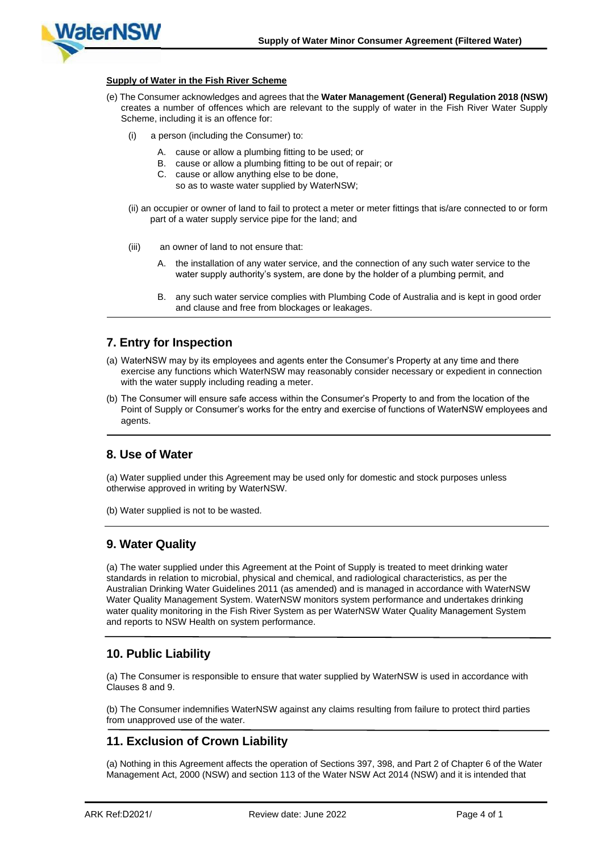

#### **Supply of Water in the Fish River Scheme**

- (e) The Consumer acknowledges and agrees that the **Water Management (General) Regulation 2018 (NSW)** creates a number of offences which are relevant to the supply of water in the Fish River Water Supply Scheme, including it is an offence for:
	- a person (including the Consumer) to:
		- A. cause or allow a plumbing fitting to be used; or
		- B. cause or allow a plumbing fitting to be out of repair; or
		- C. cause or allow anything else to be done,
			- so as to waste water supplied by WaterNSW;
	- (ii) an occupier or owner of land to fail to protect a meter or meter fittings that is/are connected to or form part of a water supply service pipe for the land; and
	- (iii) an owner of land to not ensure that:
		- the installation of any water service, and the connection of any such water service to the water supply authority's system, are done by the holder of a plumbing permit, and
		- B. any such water service complies with Plumbing Code of Australia and is kept in good order and clause and free from blockages or leakages.

#### **7. Entry for Inspection**

- (a) WaterNSW may by its employees and agents enter the Consumer's Property at any time and there exercise any functions which WaterNSW may reasonably consider necessary or expedient in connection with the water supply including reading a meter.
- (b) The Consumer will ensure safe access within the Consumer's Property to and from the location of the Point of Supply or Consumer's works for the entry and exercise of functions of WaterNSW employees and agents.

#### **8. Use of Water**

(a) Water supplied under this Agreement may be used only for domestic and stock purposes unless otherwise approved in writing by WaterNSW.

(b) Water supplied is not to be wasted.

#### **9. Water Quality**

(a) The water supplied under this Agreement at the Point of Supply is treated to meet drinking water standards in relation to microbial, physical and chemical, and radiological characteristics, as per the Australian Drinking Water Guidelines 2011 (as amended) and is managed in accordance with WaterNSW Water Quality Management System. WaterNSW monitors system performance and undertakes drinking water quality monitoring in the Fish River System as per WaterNSW Water Quality Management System and reports to NSW Health on system performance.

#### **10. Public Liability**

(a) The Consumer is responsible to ensure that water supplied by WaterNSW is used in accordance with Clauses 8 and 9.

(b) The Consumer indemnifies WaterNSW against any claims resulting from failure to protect third parties from unapproved use of the water.

#### **11. Exclusion of Crown Liability**

(a) Nothing in this Agreement affects the operation of Sections 397, 398, and Part 2 of Chapter 6 of the Water Management Act, 2000 (NSW) and section 113 of the Water NSW Act 2014 (NSW) and it is intended that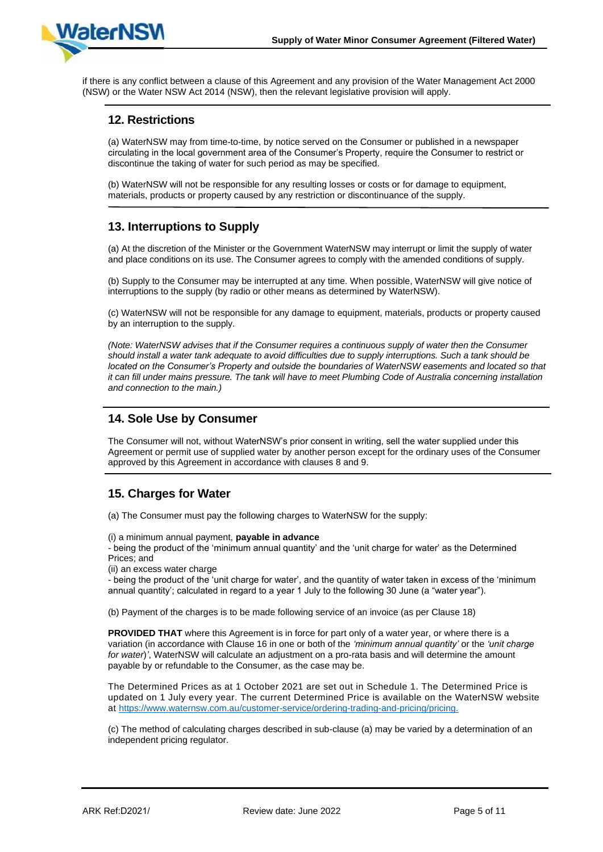

if there is any conflict between a clause of this Agreement and any provision of the Water Management Act 2000 (NSW) or the Water NSW Act 2014 (NSW), then the relevant legislative provision will apply.

#### **12. Restrictions**

(a) WaterNSW may from time-to-time, by notice served on the Consumer or published in a newspaper circulating in the local government area of the Consumer's Property, require the Consumer to restrict or discontinue the taking of water for such period as may be specified.

(b) WaterNSW will not be responsible for any resulting losses or costs or for damage to equipment, materials, products or property caused by any restriction or discontinuance of the supply.

#### **13. Interruptions to Supply**

(a) At the discretion of the Minister or the Government WaterNSW may interrupt or limit the supply of water and place conditions on its use. The Consumer agrees to comply with the amended conditions of supply.

(b) Supply to the Consumer may be interrupted at any time. When possible, WaterNSW will give notice of interruptions to the supply (by radio or other means as determined by WaterNSW).

(c) WaterNSW will not be responsible for any damage to equipment, materials, products or property caused by an interruption to the supply.

*(Note: WaterNSW advises that if the Consumer requires a continuous supply of water then the Consumer should install a water tank adequate to avoid difficulties due to supply interruptions. Such a tank should be located on the Consumer's Property and outside the boundaries of WaterNSW easements and located so that it can fill under mains pressure. The tank will have to meet Plumbing Code of Australia concerning installation and connection to the main.)*

#### **14. Sole Use by Consumer**

The Consumer will not, without WaterNSW's prior consent in writing, sell the water supplied under this Agreement or permit use of supplied water by another person except for the ordinary uses of the Consumer approved by this Agreement in accordance with clauses 8 and 9.

### **15. Charges for Water**

(a) The Consumer must pay the following charges to WaterNSW for the supply:

(i) a minimum annual payment, **payable in advance**

- being the product of the 'minimum annual quantity' and the 'unit charge for water' as the Determined Prices; and

(ii) an excess water charge

- being the product of the 'unit charge for water', and the quantity of water taken in excess of the 'minimum annual quantity'; calculated in regard to a year 1 July to the following 30 June (a "water year").

(b) Payment of the charges is to be made following service of an invoice (as per Clause 18)

**PROVIDED THAT** where this Agreement is in force for part only of a water year, or where there is a variation (in accordance with Clause 16 in one or both of the *'minimum annual quantity'* or the *'unit charge for water*)*'*, WaterNSW will calculate an adjustment on a pro-rata basis and will determine the amount payable by or refundable to the Consumer, as the case may be.

The Determined Prices as at 1 October 2021 are set out in Schedule 1. The Determined Price is updated on 1 July every year. The current Determined Price is available on the WaterNSW website at <https://www.waternsw.com.au/customer-service/ordering-trading-and-pricing/pricing.>

(c) The method of calculating charges described in sub-clause (a) may be varied by a determination of an independent pricing regulator.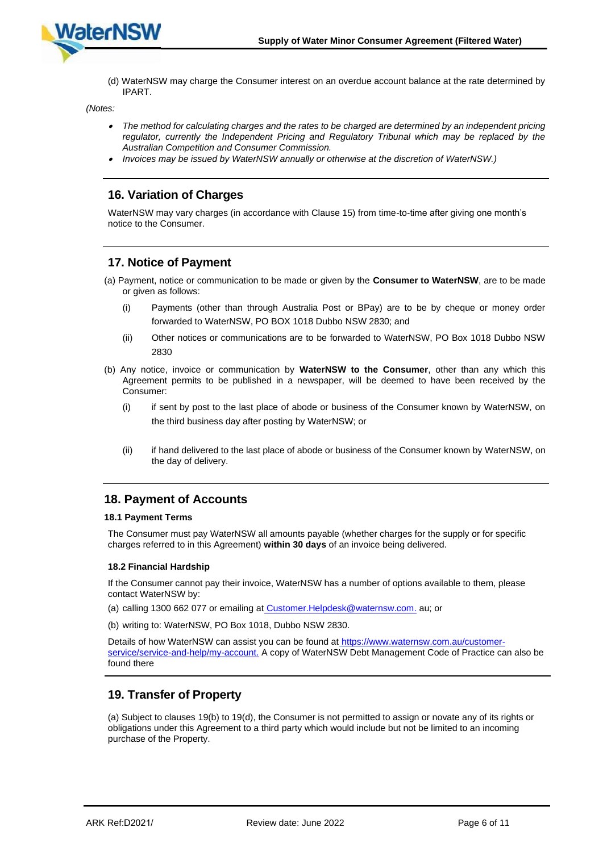

(d) WaterNSW may charge the Consumer interest on an overdue account balance at the rate determined by IPART.

*(Notes:*

- • *The method for calculating charges and the rates to be charged are determined by an independent pricing regulator, currently the Independent Pricing and Regulatory Tribunal which may be replaced by the Australian Competition and Consumer Commission.*
- *Invoices may be issued by WaterNSW annually or otherwise at the discretion of WaterNSW.)*

#### **16. Variation of Charges**

WaterNSW may vary charges (in accordance with Clause 15) from time-to-time after giving one month's notice to the Consumer.

#### **17. Notice of Payment**

- (a) Payment, notice or communication to be made or given by the **Consumer to WaterNSW**, are to be made or given as follows:
	- (i) Payments (other than through Australia Post or BPay) are to be by cheque or money order forwarded to WaterNSW, PO BOX 1018 Dubbo NSW 2830; and
	- (ii) Other notices or communications are to be forwarded to WaterNSW, PO Box 1018 Dubbo NSW 2830
- (b) Any notice, invoice or communication by **WaterNSW to the Consumer**, other than any which this Agreement permits to be published in a newspaper, will be deemed to have been received by the Consumer:
	- (i) if sent by post to the last place of abode or business of the Consumer known by WaterNSW, on the third business day after posting by WaterNSW; or
	- (ii) if hand delivered to the last place of abode or business of the Consumer known by WaterNSW, on the day of delivery.

#### **18. Payment of Accounts**

#### **18.1 Payment Terms**

The Consumer must pay WaterNSW all amounts payable (whether charges for the supply or for specific charges referred to in this Agreement) **within 30 days** of an invoice being delivered.

#### **18.2 Financial Hardship**

If the Consumer cannot pay their invoice, WaterNSW has a number of options available to them, please contact WaterNSW by:

- (a) calling 1300 662 077 or emailing at [Customer.Helpdesk@waternsw.com.](mailto:Customer.Helpdesk@waternsw.com) au; or
- (b) writing to: WaterNSW, PO Box 1018, Dubbo NSW 2830.

Details of how WaterNSW can assist you can be found at [https://www.waternsw.com.au/customer](https://www.waternsw.com.au/customer-service/service-and-help/my-account)[service/service-and-help/my-account.](https://www.waternsw.com.au/customer-service/service-and-help/my-account) A copy of WaterNSW Debt Management Code of Practice can also be found there

#### **19. Transfer of Property**

(a) Subject to clauses 19(b) to 19(d), the Consumer is not permitted to assign or novate any of its rights or obligations under this Agreement to a third party which would include but not be limited to an incoming purchase of the Property.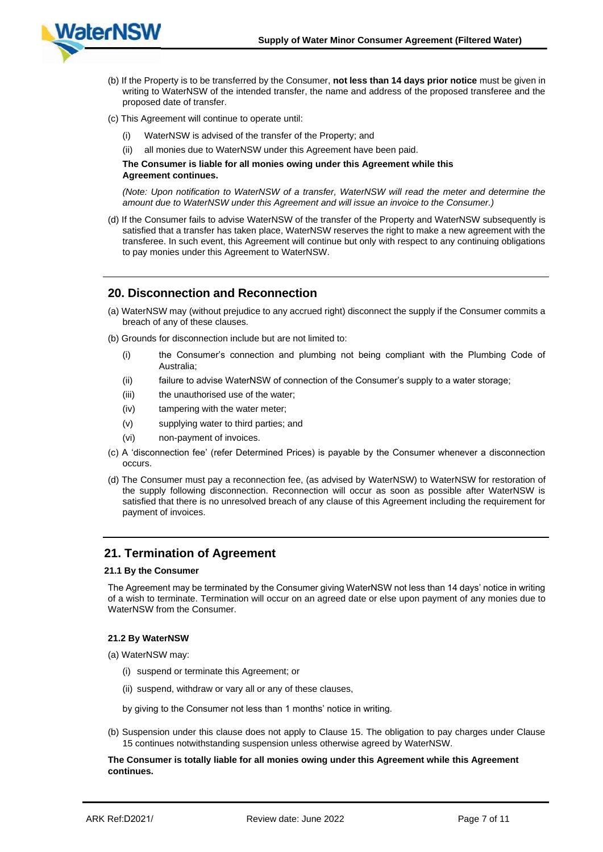

- (b) If the Property is to be transferred by the Consumer, **not less than 14 days prior notice** must be given in writing to WaterNSW of the intended transfer, the name and address of the proposed transferee and the proposed date of transfer.
- (c) This Agreement will continue to operate until:
	- WaterNSW is advised of the transfer of the Property; and
	- (ii) all monies due to WaterNSW under this Agreement have been paid.

#### **The Consumer is liable for all monies owing under this Agreement while this Agreement continues.**

*(Note: Upon notification to WaterNSW of a transfer, WaterNSW will read the meter and determine the amount due to WaterNSW under this Agreement and will issue an invoice to the Consumer.)*

(d) If the Consumer fails to advise WaterNSW of the transfer of the Property and WaterNSW subsequently is satisfied that a transfer has taken place, WaterNSW reserves the right to make a new agreement with the transferee. In such event, this Agreement will continue but only with respect to any continuing obligations to pay monies under this Agreement to WaterNSW.

#### **20. Disconnection and Reconnection**

- (a) WaterNSW may (without prejudice to any accrued right) disconnect the supply if the Consumer commits a breach of any of these clauses.
- (b) Grounds for disconnection include but are not limited to:
	- (i) the Consumer's connection and plumbing not being compliant with the Plumbing Code of Australia;
	- (ii) failure to advise WaterNSW of connection of the Consumer's supply to a water storage;
	- (iii) the unauthorised use of the water:
	- (iv) tampering with the water meter;
	- (v) supplying water to third parties; and
	- (vi) non-payment of invoices.
- (c) A 'disconnection fee' (refer Determined Prices) is payable by the Consumer whenever a disconnection occurs.
- (d) The Consumer must pay a reconnection fee, (as advised by WaterNSW) to WaterNSW for restoration of the supply following disconnection. Reconnection will occur as soon as possible after WaterNSW is satisfied that there is no unresolved breach of any clause of this Agreement including the requirement for payment of invoices.

#### **21. Termination of Agreement**

#### **21.1 By the Consumer**

The Agreement may be terminated by the Consumer giving WaterNSW not less than 14 days' notice in writing of a wish to terminate. Termination will occur on an agreed date or else upon payment of any monies due to WaterNSW from the Consumer.

#### **21.2 By WaterNSW**

- (a) WaterNSW may:
	- (i) suspend or terminate this Agreement; or
	- (ii) suspend, withdraw or vary all or any of these clauses,
	- by giving to the Consumer not less than 1 months' notice in writing.
- (b) Suspension under this clause does not apply to Clause 15. The obligation to pay charges under Clause 15 continues notwithstanding suspension unless otherwise agreed by WaterNSW.

#### **The Consumer is totally liable for all monies owing under this Agreement while this Agreement continues.**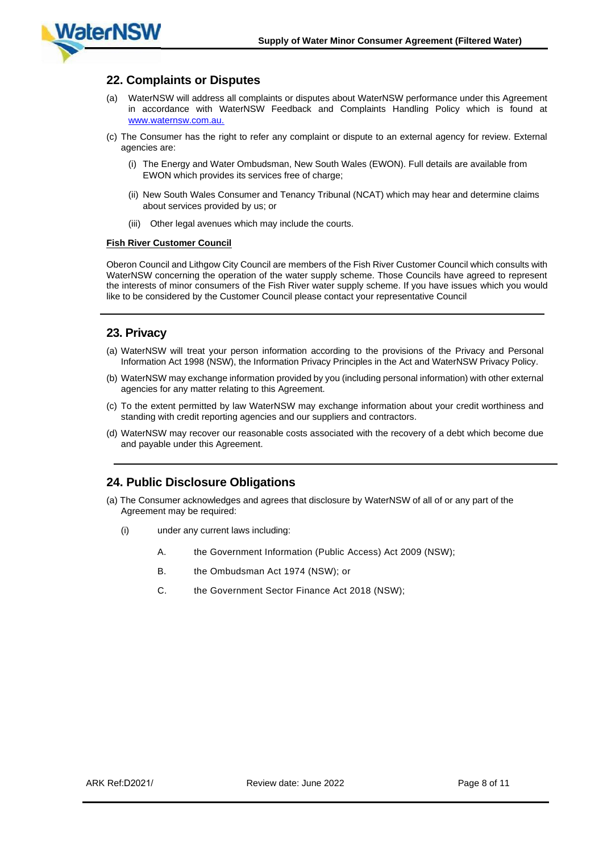

#### **22. Complaints or Disputes**

- (a) WaterNSW will address all complaints or disputes about WaterNSW performance under this Agreement in accordance with WaterNSW Feedback and Complaints Handling Policy which is found at [www.waternsw.com.au.](http://www.waternsw.com.au/)
- (c) The Consumer has the right to refer any complaint or dispute to an external agency for review. External agencies are:
	- (i) The Energy and Water Ombudsman, New South Wales (EWON). Full details are available from EWON which provides its services free of charge:
	- (ii) New South Wales Consumer and Tenancy Tribunal (NCAT) which may hear and determine claims about services provided by us; or
	- (iii) Other legal avenues which may include the courts.

#### **Fish River Customer Council**

Oberon Council and Lithgow City Council are members of the Fish River Customer Council which consults with WaterNSW concerning the operation of the water supply scheme. Those Councils have agreed to represent the interests of minor consumers of the Fish River water supply scheme. If you have issues which you would like to be considered by the Customer Council please contact your representative Council

#### **23. Privacy**

- (a) WaterNSW will treat your person information according to the provisions of the Privacy and Personal Information Act 1998 (NSW), the Information Privacy Principles in the Act and WaterNSW Privacy Policy.
- (b) WaterNSW may exchange information provided by you (including personal information) with other external agencies for any matter relating to this Agreement.
- (c) To the extent permitted by law WaterNSW may exchange information about your credit worthiness and standing with credit reporting agencies and our suppliers and contractors.
- (d) WaterNSW may recover our reasonable costs associated with the recovery of a debt which become due and payable under this Agreement.

#### **24. Public Disclosure Obligations**

- (a) The Consumer acknowledges and agrees that disclosure by WaterNSW of all of or any part of the Agreement may be required:
	- (i) under any current laws including:
		- A. the Government Information (Public Access) Act 2009 (NSW);
		- B. the Ombudsman Act 1974 (NSW); or
		- C. the Government Sector Finance Act 2018 (NSW);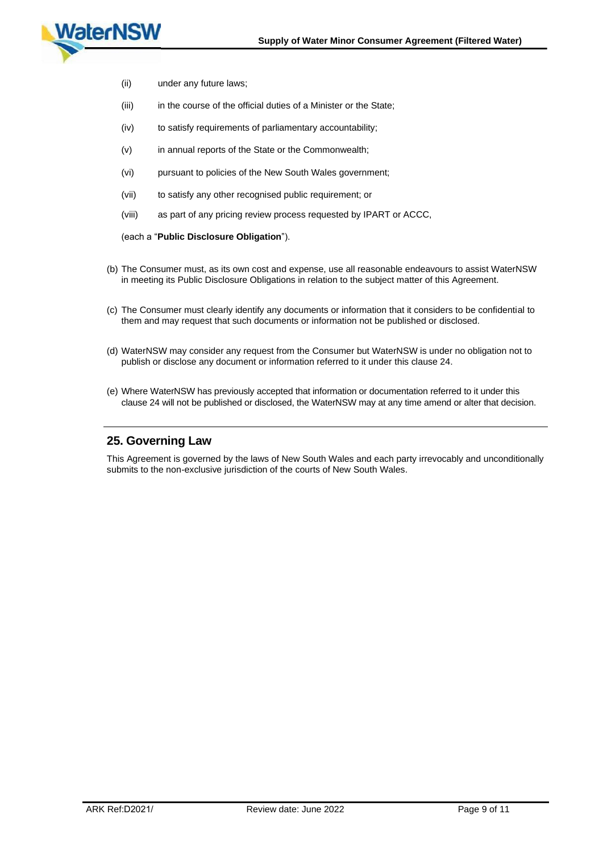

- (ii) under any future laws;
- (iii) in the course of the official duties of a Minister or the State;
- (iv) to satisfy requirements of parliamentary accountability;
- (v) in annual reports of the State or the Commonwealth;
- (vi) pursuant to policies of the New South Wales government;
- (vii) to satisfy any other recognised public requirement; or
- (viii) as part of any pricing review process requested by IPART or ACCC,

#### (each a "**Public Disclosure Obligation**").

- (b) The Consumer must, as its own cost and expense, use all reasonable endeavours to assist WaterNSW in meeting its Public Disclosure Obligations in relation to the subject matter of this Agreement.
- (c) The Consumer must clearly identify any documents or information that it considers to be confidential to them and may request that such documents or information not be published or disclosed.
- (d) WaterNSW may consider any request from the Consumer but WaterNSW is under no obligation not to publish or disclose any document or information referred to it under this clause 24.
- (e) Where WaterNSW has previously accepted that information or documentation referred to it under this clause 24 will not be published or disclosed, the WaterNSW may at any time amend or alter that decision.

#### **25. Governing Law**

This Agreement is governed by the laws of New South Wales and each party irrevocably and unconditionally submits to the non-exclusive jurisdiction of the courts of New South Wales.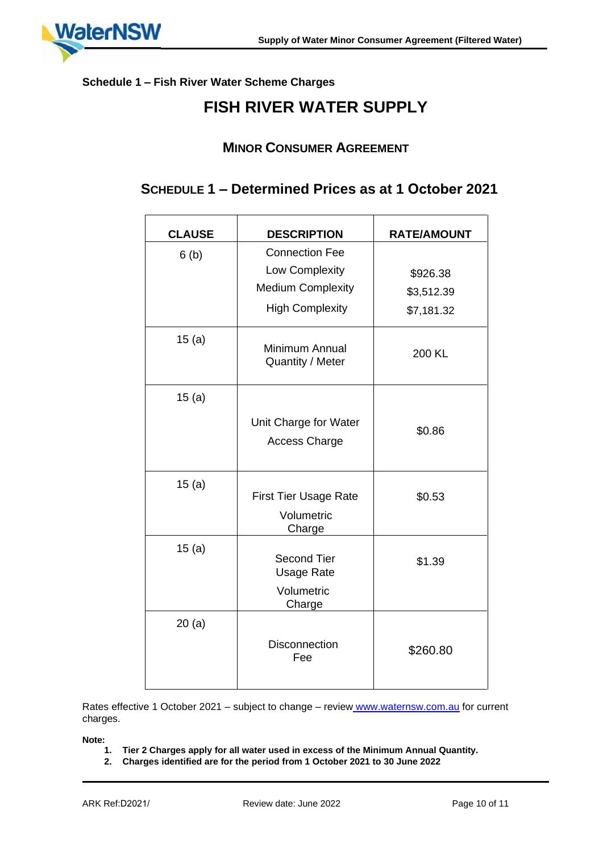

### **Schedule 1 – Fish River Water Scheme Charges**

## **FISH RIVER WATER SUPPLY**

### **MINOR CONSUMER AGREEMENT**

## **SCHEDULE 1 – Determined Prices as at 1 October 2021**

| <b>CLAUSE</b> | <b>DESCRIPTION</b>                                              | <b>RATE/AMOUNT</b> |
|---------------|-----------------------------------------------------------------|--------------------|
| 6(b)          | <b>Connection Fee</b>                                           |                    |
|               | Low Complexity                                                  | \$926.38           |
|               | <b>Medium Complexity</b>                                        | \$3,512.39         |
|               | <b>High Complexity</b>                                          | \$7,181.32         |
| 15(a)         | Minimum Annual<br>Quantity / Meter                              | 200 KL             |
| 15(a)         |                                                                 |                    |
|               | Unit Charge for Water<br><b>Access Charge</b>                   | \$0.86             |
| 15(a)         | <b>First Tier Usage Rate</b>                                    | \$0.53             |
|               | Volumetric<br>Charge                                            |                    |
| 15(a)         | <b>Second Tier</b><br><b>Usage Rate</b><br>Volumetric<br>Charge | \$1.39             |
| 20(a)         |                                                                 |                    |
|               | <b>Disconnection</b><br>Fee                                     | \$260.80           |

Rates effective 1 October 2021 – subject to change – review [www.waternsw.com.a](http://www.waternsw.com.au/)u for current charges.

**Note:**

- **1. Tier 2 Charges apply for all water used in excess of the Minimum Annual Quantity.**
- **2. Charges identified are for the period from 1 October 2021 to 30 June 2022**